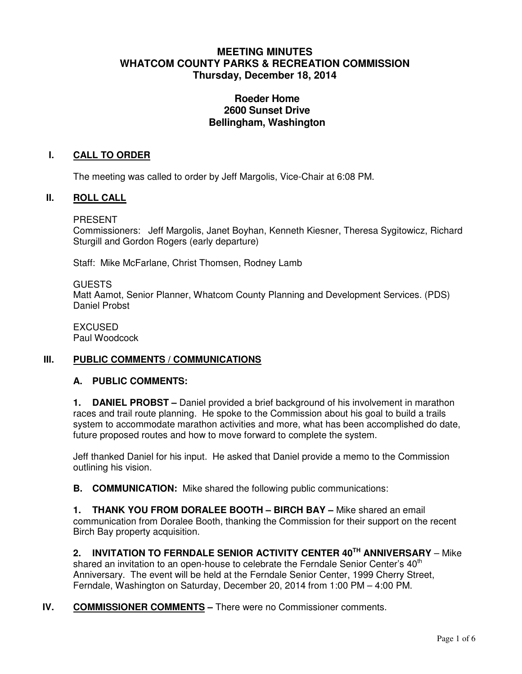# **MEETING MINUTES WHATCOM COUNTY PARKS & RECREATION COMMISSION Thursday, December 18, 2014**

# **Roeder Home 2600 Sunset Drive Bellingham, Washington**

## **I. CALL TO ORDER**

The meeting was called to order by Jeff Margolis, Vice-Chair at 6:08 PM.

#### **II. ROLL CALL**

PRESENT

Commissioners: Jeff Margolis, Janet Boyhan, Kenneth Kiesner, Theresa Sygitowicz, Richard Sturgill and Gordon Rogers (early departure)

Staff: Mike McFarlane, Christ Thomsen, Rodney Lamb

GUESTS

Matt Aamot, Senior Planner, Whatcom County Planning and Development Services. (PDS) Daniel Probst

EXCUSED Paul Woodcock

## **III. PUBLIC COMMENTS / COMMUNICATIONS**

#### **A. PUBLIC COMMENTS:**

**1. DANIEL PROBST –** Daniel provided a brief background of his involvement in marathon races and trail route planning. He spoke to the Commission about his goal to build a trails system to accommodate marathon activities and more, what has been accomplished do date, future proposed routes and how to move forward to complete the system.

Jeff thanked Daniel for his input. He asked that Daniel provide a memo to the Commission outlining his vision.

**B. COMMUNICATION:** Mike shared the following public communications:

**1. THANK YOU FROM DORALEE BOOTH – BIRCH BAY –** Mike shared an email communication from Doralee Booth, thanking the Commission for their support on the recent Birch Bay property acquisition.

**2. INVITATION TO FERNDALE SENIOR ACTIVITY CENTER 40TH ANNIVERSARY** – Mike shared an invitation to an open-house to celebrate the Ferndale Senior Center's  $40<sup>th</sup>$ Anniversary. The event will be held at the Ferndale Senior Center, 1999 Cherry Street, Ferndale, Washington on Saturday, December 20, 2014 from 1:00 PM – 4:00 PM.

## **IV.** COMMISSIONER COMMENTS – There were no Commissioner comments.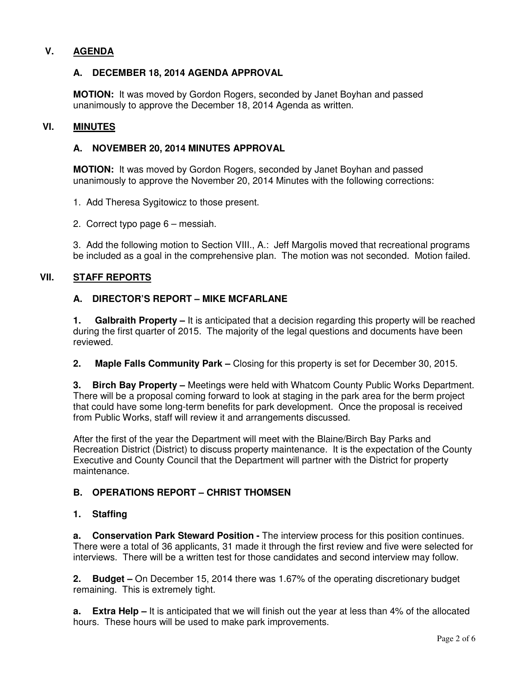# **V. AGENDA**

## **A. DECEMBER 18, 2014 AGENDA APPROVAL**

**MOTION:** It was moved by Gordon Rogers, seconded by Janet Boyhan and passed unanimously to approve the December 18, 2014 Agenda as written.

## **VI. MINUTES**

## **A. NOVEMBER 20, 2014 MINUTES APPROVAL**

**MOTION:** It was moved by Gordon Rogers, seconded by Janet Boyhan and passed unanimously to approve the November 20, 2014 Minutes with the following corrections:

1. Add Theresa Sygitowicz to those present.

2. Correct typo page 6 – messiah.

3. Add the following motion to Section VIII., A.: Jeff Margolis moved that recreational programs be included as a goal in the comprehensive plan. The motion was not seconded. Motion failed.

#### **VII. STAFF REPORTS**

#### **A. DIRECTOR'S REPORT – MIKE MCFARLANE**

**1. Galbraith Property –** It is anticipated that a decision regarding this property will be reached during the first quarter of 2015. The majority of the legal questions and documents have been reviewed.

**2. Maple Falls Community Park –** Closing for this property is set for December 30, 2015.

**3. Birch Bay Property –** Meetings were held with Whatcom County Public Works Department. There will be a proposal coming forward to look at staging in the park area for the berm project that could have some long-term benefits for park development. Once the proposal is received from Public Works, staff will review it and arrangements discussed.

After the first of the year the Department will meet with the Blaine/Birch Bay Parks and Recreation District (District) to discuss property maintenance. It is the expectation of the County Executive and County Council that the Department will partner with the District for property maintenance.

## **B. OPERATIONS REPORT – CHRIST THOMSEN**

#### **1. Staffing**

**a.** Conservation Park Steward Position - The interview process for this position continues. There were a total of 36 applicants, 31 made it through the first review and five were selected for interviews. There will be a written test for those candidates and second interview may follow.

**2. Budget –** On December 15, 2014 there was 1.67% of the operating discretionary budget remaining. This is extremely tight.

**a. Extra Help –** It is anticipated that we will finish out the year at less than 4% of the allocated hours. These hours will be used to make park improvements.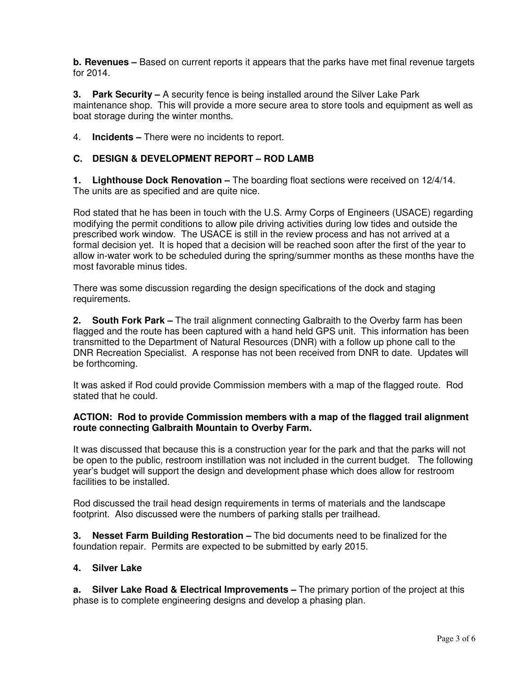**b. Revenues –** Based on current reports it appears that the parks have met final revenue targets for 2014.

**3. Park Security –** A security fence is being installed around the Silver Lake Park maintenance shop. This will provide a more secure area to store tools and equipment as well as boat storage during the winter months.

4. **Incidents –** There were no incidents to report.

## **C. DESIGN & DEVELOPMENT REPORT – ROD LAMB**

**1. Lighthouse Dock Renovation –** The boarding float sections were received on 12/4/14. The units are as specified and are quite nice.

Rod stated that he has been in touch with the U.S. Army Corps of Engineers (USACE) regarding modifying the permit conditions to allow pile driving activities during low tides and outside the prescribed work window. The USACE is still in the review process and has not arrived at a formal decision yet. It is hoped that a decision will be reached soon after the first of the year to allow in-water work to be scheduled during the spring/summer months as these months have the most favorable minus tides.

There was some discussion regarding the design specifications of the dock and staging requirements.

**2. South Fork Park –** The trail alignment connecting Galbraith to the Overby farm has been flagged and the route has been captured with a hand held GPS unit. This information has been transmitted to the Department of Natural Resources (DNR) with a follow up phone call to the DNR Recreation Specialist. A response has not been received from DNR to date. Updates will be forthcoming.

It was asked if Rod could provide Commission members with a map of the flagged route. Rod stated that he could.

#### **ACTION: Rod to provide Commission members with a map of the flagged trail alignment route connecting Galbraith Mountain to Overby Farm.**

It was discussed that because this is a construction year for the park and that the parks will not be open to the public, restroom instillation was not included in the current budget. The following year's budget will support the design and development phase which does allow for restroom facilities to be installed.

Rod discussed the trail head design requirements in terms of materials and the landscape footprint. Also discussed were the numbers of parking stalls per trailhead.

**3. Nesset Farm Building Restoration –** The bid documents need to be finalized for the foundation repair. Permits are expected to be submitted by early 2015.

## **4. Silver Lake**

**a. Silver Lake Road & Electrical Improvements –** The primary portion of the project at this phase is to complete engineering designs and develop a phasing plan.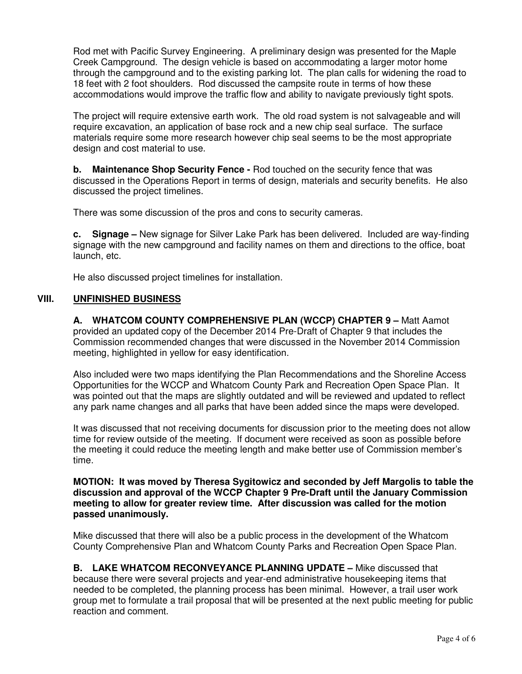Rod met with Pacific Survey Engineering. A preliminary design was presented for the Maple Creek Campground. The design vehicle is based on accommodating a larger motor home through the campground and to the existing parking lot. The plan calls for widening the road to 18 feet with 2 foot shoulders. Rod discussed the campsite route in terms of how these accommodations would improve the traffic flow and ability to navigate previously tight spots.

The project will require extensive earth work. The old road system is not salvageable and will require excavation, an application of base rock and a new chip seal surface. The surface materials require some more research however chip seal seems to be the most appropriate design and cost material to use.

**b. Maintenance Shop Security Fence -** Rod touched on the security fence that was discussed in the Operations Report in terms of design, materials and security benefits. He also discussed the project timelines.

There was some discussion of the pros and cons to security cameras.

**c. Signage –** New signage for Silver Lake Park has been delivered. Included are way-finding signage with the new campground and facility names on them and directions to the office, boat launch, etc.

He also discussed project timelines for installation.

## **VIII. UNFINISHED BUSINESS**

**A. WHATCOM COUNTY COMPREHENSIVE PLAN (WCCP) CHAPTER 9 –** Matt Aamot provided an updated copy of the December 2014 Pre-Draft of Chapter 9 that includes the Commission recommended changes that were discussed in the November 2014 Commission meeting, highlighted in yellow for easy identification.

Also included were two maps identifying the Plan Recommendations and the Shoreline Access Opportunities for the WCCP and Whatcom County Park and Recreation Open Space Plan. It was pointed out that the maps are slightly outdated and will be reviewed and updated to reflect any park name changes and all parks that have been added since the maps were developed.

It was discussed that not receiving documents for discussion prior to the meeting does not allow time for review outside of the meeting. If document were received as soon as possible before the meeting it could reduce the meeting length and make better use of Commission member's time.

**MOTION: It was moved by Theresa Sygitowicz and seconded by Jeff Margolis to table the discussion and approval of the WCCP Chapter 9 Pre-Draft until the January Commission meeting to allow for greater review time. After discussion was called for the motion passed unanimously.** 

Mike discussed that there will also be a public process in the development of the Whatcom County Comprehensive Plan and Whatcom County Parks and Recreation Open Space Plan.

**B. LAKE WHATCOM RECONVEYANCE PLANNING UPDATE –** Mike discussed that because there were several projects and year-end administrative housekeeping items that needed to be completed, the planning process has been minimal. However, a trail user work group met to formulate a trail proposal that will be presented at the next public meeting for public reaction and comment.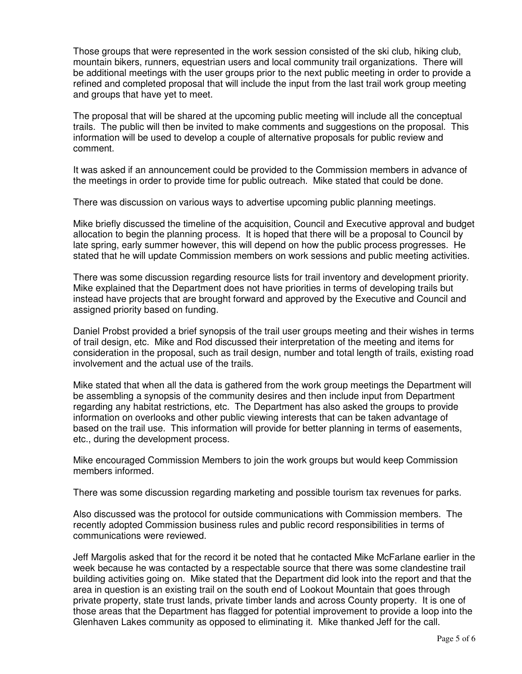Those groups that were represented in the work session consisted of the ski club, hiking club, mountain bikers, runners, equestrian users and local community trail organizations. There will be additional meetings with the user groups prior to the next public meeting in order to provide a refined and completed proposal that will include the input from the last trail work group meeting and groups that have yet to meet.

The proposal that will be shared at the upcoming public meeting will include all the conceptual trails. The public will then be invited to make comments and suggestions on the proposal. This information will be used to develop a couple of alternative proposals for public review and comment.

It was asked if an announcement could be provided to the Commission members in advance of the meetings in order to provide time for public outreach. Mike stated that could be done.

There was discussion on various ways to advertise upcoming public planning meetings.

Mike briefly discussed the timeline of the acquisition, Council and Executive approval and budget allocation to begin the planning process. It is hoped that there will be a proposal to Council by late spring, early summer however, this will depend on how the public process progresses. He stated that he will update Commission members on work sessions and public meeting activities.

There was some discussion regarding resource lists for trail inventory and development priority. Mike explained that the Department does not have priorities in terms of developing trails but instead have projects that are brought forward and approved by the Executive and Council and assigned priority based on funding.

Daniel Probst provided a brief synopsis of the trail user groups meeting and their wishes in terms of trail design, etc. Mike and Rod discussed their interpretation of the meeting and items for consideration in the proposal, such as trail design, number and total length of trails, existing road involvement and the actual use of the trails.

Mike stated that when all the data is gathered from the work group meetings the Department will be assembling a synopsis of the community desires and then include input from Department regarding any habitat restrictions, etc. The Department has also asked the groups to provide information on overlooks and other public viewing interests that can be taken advantage of based on the trail use. This information will provide for better planning in terms of easements, etc., during the development process.

Mike encouraged Commission Members to join the work groups but would keep Commission members informed.

There was some discussion regarding marketing and possible tourism tax revenues for parks.

Also discussed was the protocol for outside communications with Commission members. The recently adopted Commission business rules and public record responsibilities in terms of communications were reviewed.

Jeff Margolis asked that for the record it be noted that he contacted Mike McFarlane earlier in the week because he was contacted by a respectable source that there was some clandestine trail building activities going on. Mike stated that the Department did look into the report and that the area in question is an existing trail on the south end of Lookout Mountain that goes through private property, state trust lands, private timber lands and across County property. It is one of those areas that the Department has flagged for potential improvement to provide a loop into the Glenhaven Lakes community as opposed to eliminating it. Mike thanked Jeff for the call.